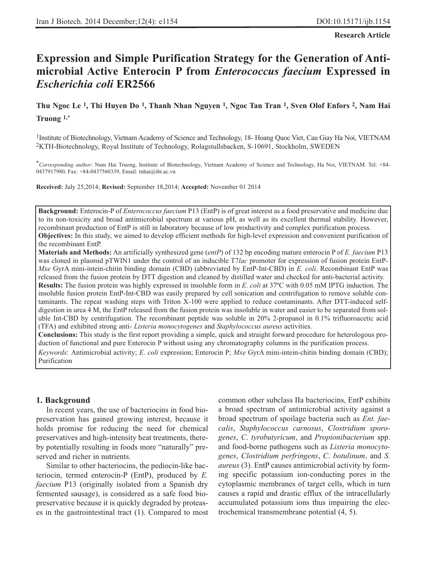**Research Article**

# **Expression and Simple Purification Strategy for the Generation of Antimicrobial Active Enterocin P from** *Enterococcus faecium* **Expressed in** *Escherichia coli* **ER2566**

# **Thu Ngoc Le 1, Thi Huyen Do 1, Thanh Nhan Nguyen 1, Ngoc Tan Tran 1, Sven Olof Enfors 2, Nam Hai Truong 1,\***

1Institute of Biotechnology, Vietnam Academy of Science and Technology, 18- Hoang Quoc Viet, Cau Giay Ha Noi, VIETNAM 2KTH-Biotechnology, Royal Institute of Technology, Rolagstullsbacken, S-10691, Stockholm, SWEDEN

\**Corresponding author*: Nam Hai Truong, Institute of Biotechnology, Vietnam Academy of Science and Technology, Ha Noi, VIETNAM. Tel: +84- 0437917980, Fax: +84-0437560339, Email: tnhai@ibt.ac.vn

**Received:** July 25,2014; **Revised:** September 18,2014; **Accepted:** November 01 2014

**Background:** Enterocin-P of *Enterococcus faecium* P13 (EntP) is of great interest as a food preservative and medicine due to its non-toxicity and broad antimicrobial spectrum at various pH, as well as its excellent thermal stability. However, recombinant production of EntP is still in laboratory because of low productivity and complex purification process. **Objectives:** In this study, we aimed to develop efficient methods for high-level expression and convenient purification of the recombinant EntP.

**Materials and Methods:** An artificially synthesized gene (*entP*) of 132 bp encoding mature enterocin P of *E. faecium* P13 was cloned in plasmid pTWIN1 under the control of an inducible T7*lac* promoter for expression of fusion protein EntP-*Mxe* GyrA mini-intein-chitin binding domain (CBD) (abbreviated by EntP-Int-CBD) in *E. coli*. Recombinant EntP was released from the fusion protein by DTT digestion and cleaned by distilled water and checked for anti-bacterial activity. **Results:** The fusion protein was highly expressed in insoluble form in *E. coli* at 37ºC with 0.05 mM IPTG induction. The insoluble fusion protein EntP-Int-CBD was easily prepared by cell sonication and centrifugation to remove soluble contaminants. The repeat washing steps with Triton X-100 were applied to reduce contaminants. After DTT-induced selfdigestion in urea 4 M, the EntP released from the fusion protein was insoluble in water and easier to be separated from soluble Int-CBD by centrifugation. The recombinant peptide was soluble in 20% 2-propanol in 0.1% trifluoroacetic acid (TFA) and exhibited strong anti- *Listeria monocytogenes* and *Staphylococcus aureus* activities.

**Conclusions:** This study is the first report providing a simple, quick and straight forward procedure for heterologous production of functional and pure Enterocin P without using any chromatography columns in the purification process.

*Keywords*: Antimicrobial activity; *E*. *coli* expression; Enterocin P; *Mxe* GyrA mini-intein-chitin binding domain (CBD); Purification

#### **1. Background**

In recent years, the use of bacteriocins in food biopreservation has gained growing interest, because it holds promise for reducing the need for chemical preservatives and high-intensity heat treatments, thereby potentially resulting in foods more "naturally" preserved and richer in nutrients.

Similar to other bacteriocins, the pediocin-like bacteriocin, termed enterocin-P (EntP), produced by *E. faecium* P13 (originally isolated from a Spanish dry fermented sausage), is considered as a safe food biopreservative because it is quickly degraded by proteases in the gastrointestinal tract (1). Compared to most common other subclass IIa bacteriocins, EntP exhibits a broad spectrum of antimicrobial activity against a broad spectrum of spoilage bacteria such as *Ent. faecalis*, *Staphylococcus carnosus*, *Clostridium sporogenes*, *C*. *tyrobutyricum*, and *Propionibacterium* spp. and food-borne pathogens such as *Listeria monocytogenes*, *Clostridium perfringens*, *C*. *botulinum*, and *S. aureus* (3). EntP causes antimicrobial activity by forming specific potassium ion-conducting pores in the cytoplasmic membranes of target cells, which in turn causes a rapid and drastic efflux of the intracellularly accumulated potassium ions thus impairing the electrochemical transmembrane potential (4, 5).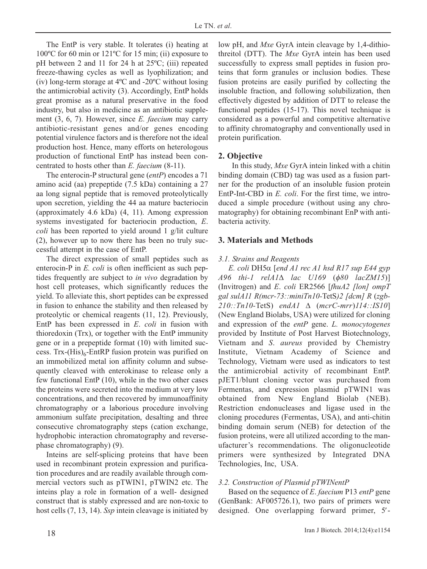The EntP is very stable. It tolerates (i) heating at 100ºC for 60 min or 121ºC for 15 min; (ii) exposure to pH between 2 and 11 for 24 h at 25ºC; (iii) repeated freeze-thawing cycles as well as lyophilization; and (iv) long-term storage at 4ºC and -20ºC without losing the antimicrobial activity (3). Accordingly, EntP holds great promise as a natural preservative in the food industry, but also in medicine as an antibiotic supplement (3, 6, 7). However, since *E. faecium* may carry antibiotic-resistant genes and/or genes encoding potential virulence factors and is therefore not the ideal production host. Hence, many efforts on heterologous production of functional EntP has instead been concentrated to hosts other than *E. faecium* (8-11).

The enterocin-P structural gene (*entP*) encodes a 71 amino acid (aa) prepeptide (7.5 kDa) containing a 27 aa long signal peptide that is removed proteolytically upon secretion, yielding the 44 aa mature bacteriocin (approximately 4.6 kDa) (4, 11). Among expression systems investigated for bacteriocin production, *E*. *coli* has been reported to yield around 1 g/lit culture (2), however up to now there has been no truly successful attempt in the case of EntP.

The direct expression of small peptides such as enterocin-P in *E. coli* is often inefficient as such peptides frequently are subject to *in vivo* degradation by host cell proteases, which significantly reduces the yield. To alleviate this, short peptides can be expressed in fusion to enhance the stability and then released by proteolytic or chemical reagents (11, 12). Previously, EntP has been expressed in *E*. *coli* in fusion with thioredoxin (Trx), or together with the EntP immunity gene or in a prepeptide format (10) with limited success. Trx- $(His)_{6}$ -EntRP fusion protein was purified on an immobilized metal ion affinity column and subsequently cleaved with enterokinase to release only a few functional EntP (10), while in the two other cases the proteins were secreted into the medium at very low concentrations, and then recovered by immunoaffinity chromatography or a laborious procedure involving ammonium sulfate precipitation, desalting and three consecutive chromatography steps (cation exchange, hydrophobic interaction chromatography and reversephase chromatography) (9).

Inteins are self-splicing proteins that have been used in recombinant protein expression and purification procedures and are readily available through commercial vectors such as pTWIN1, pTWIN2 etc. The inteins play a role in formation of a well- designed construct that is stably expressed and are non-toxic to host cells (7, 13, 14). *Ssp* intein cleavage is initiated by low pH, and *Mxe* GyrA intein cleavage by 1,4-dithiothreitol (DTT). The *Mxe* GyrA intein has been used successfully to express small peptides in fusion proteins that form granules or inclusion bodies. These fusion proteins are easily purified by collecting the insoluble fraction, and following solubilization, then effectively digested by addition of DTT to release the functional peptides (15-17). This novel technique is considered as a powerful and competitive alternative to affinity chromatography and conventionally used in protein purification.

# **2. Objective**

In this study, *Mxe* GyrA intein linked with a chitin binding domain (CBD) tag was used as a fusion partner for the production of an insoluble fusion protein EntP-Int-CBD in *E. coli*. For the first time, we introduced a simple procedure (without using any chromatography) for obtaining recombinant EnP with antibacteria activity.

# **3. Materials and Methods**

### *3.1. Strains and Reagents*

*E. coli* DH5α [*end A1 rec A1 hsd R17 sup E44 gyp A96 thi-1 relA1*Δ *lac U169* (φ*80 lacZM15*)] (Invitrogen) and *E*. *coli* ER2566 [*fhuA2 [lon] ompT gal sulA11 R(mcr-73::miniTn10-*TetS*)2 [dcm] R* (*zgb-210::Tn10-*TetS) *endA1* Δ (*mcrC-mrr*)*114::IS10*] (New England Biolabs, USA) were utilized for cloning and expression of the *entP* gene. *L. monocytogenes* provided by Institute of Post Harvest Biotechnology, Vietnam and *S*. *aureus* provided by Chemistry Institute, Vietnam Academy of Science and Technology, Vietnam were used as indicators to test the antimicrobial activity of recombinant EntP. pJET1/blunt cloning vector was purchased from Fermentas, and expression plasmid pTWIN1 was obtained from New England Biolab (NEB). Restriction endonucleases and ligase used in the cloning procedures (Fermentas, USA), and anti-chitin binding domain serum (NEB) for detection of the fusion proteins, were all utilized according to the manufacturer's recommendations. The oligonucleotide primers were synthesized by Integrated DNA Technologies, Inc, USA.

# *3.2. Construction of Plasmid pTWINentP*

Based on the sequence of *E*. *faecium* P13 *entP* gene (GenBank: AF005726.1), two pairs of primers were designed. One overlapping forward primer, 5′-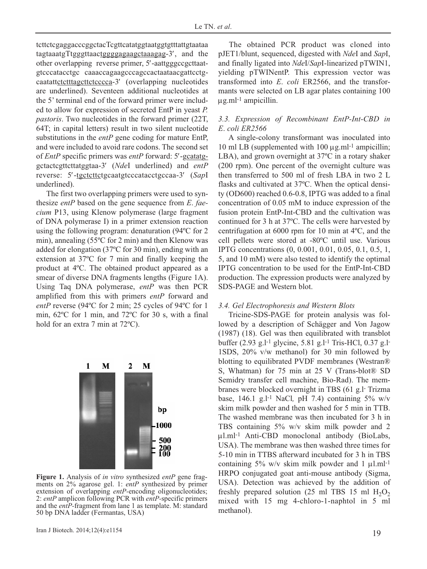tcttctcgaggacccggctacTcgttcatatggtaatggtgtttattgtaataa tagtaaatgTtgggttaactggggagaagctaaagag-3′, and the other overlapping reverse primer, 5′-aattgggccgcttaatgtcccatacctgc caaaccagaagcccagccactaataacgattcctgcaatattctcttttagcttctcccca-3' (overlapping nucleotides are underlined). Seventeen additional nucleotides at the 5' terminal end of the forward primer were included to allow for expression of secreted EntP in yeast *P. pastoris*. Two nucleotides in the forward primer (22T, 64T; in capital letters) result in two silent nucleotide substitutions in the *entP* gene coding for mature EntP, and were included to avoid rare codons. The second set of *EntP* specific primers was *entP* forward: 5′-gcatatggctactcgttcttatggtaa-3′ (*Nde*I underlined) and *entP* reverse: 5′-tgctcttctgcaatgtcccatacctgccaa-3′ (*Sap*I underlined).

The first two overlapping primers were used to synthesize *entP* based on the gene sequence from *E*. *faecium* P13, using Klenow polymerase (large fragment of DNA polymerase I) in a primer extension reaction using the following program: denaturation (94ºC for 2 min), annealing (55ºC for 2 min) and then Klenow was added for elongation (37ºC for 30 min), ending with an extension at 37ºC for 7 min and finally keeping the product at 4ºC. The obtained product appeared as a smear of diverse DNA fragments lengths (Figure 1A). Using Taq DNA polymerase, *entP* was then PCR amplified from this with primers *entP* forward and *entP* reverse (94ºC for 2 min; 25 cycles of 94ºC for 1 min, 62ºC for 1 min, and 72ºC for 30 s, with a final hold for an extra 7 min at 72<sup>o</sup>C).



**Figure 1.** Analysis of *in vitro* synthesized *entP* gene fragments on 2% agarose gel. 1: *entP* synthesized by primer extension of overlapping *entP-*encoding oligonucleotides; 2: *entP* amplicon following PCR with *entP-*specific primers and the *entP-*fragment from lane 1 as template. M: standard 50 bp DNA ladder (Fermantas, USA)

The obtained PCR product was cloned into pJET1/blunt, sequenced, digested with *Nde*I and *Sap*I, and finally ligated into *Nde*I/*Sap*I-linearized pTWIN1, yielding pTWINentP. This expression vector was transformed into *E*. *coli* ER2566, and the transformants were selected on LB agar plates containing 100  $\mu$ g.ml<sup>-1</sup> ampicillin.

#### *3.3. Expression of Recombinant EntP-Int-CBD in E*. *coli ER2566*

A single-colony transformant was inoculated into 10 ml LB (supplemented with  $100 \mu$ g.ml<sup>-1</sup> ampicillin; LBA), and grown overnight at 37ºC in a rotary shaker (200 rpm). One percent of the overnight culture was then transferred to 500 ml of fresh LBA in two 2 L flasks and cultivated at 37ºC. When the optical density (OD600) reached 0.6-0.8, IPTG was added to a final concentration of 0.05 mM to induce expression of the fusion protein EntP-Int-CBD and the cultivation was continued for 3 h at 37ºC. The cells were harvested by centrifugation at 6000 rpm for 10 min at 4ºC, and the cell pellets were stored at -80ºC until use. Various IPTG concentrations (0, 0.001, 0.01, 0.05, 0.1, 0.5, 1, 5, and 10 mM) were also tested to identify the optimal IPTG concentration to be used for the EntP-Int-CBD production. The expression products were analyzed by SDS-PAGE and Western blot.

#### *3.4. Gel Electrophoresis and Western Blots*

Tricine-SDS-PAGE for protein analysis was followed by a description of Schägger and Von Jagow (1987) (18). Gel was then equilibrated with transblot buffer (2.93 g.l-1 glycine, 5.81 g.l-1 Tris-HCl, 0.37 g.l-1SDS, 20% v/w methanol) for 30 min followed by blotting to equilibrated PVDF membranes (Westran® S, Whatman) for 75 min at 25 V (Trans-blot® SD Semidry transfer cell machine, Bio-Rad). The membranes were blocked overnight in TBS (61 g.l- Trizma base, 146.1 g.l-1 NaCl*,* pH 7.4) containing 5% w/v skim milk powder and then washed for 5 min in TTB. The washed membrane was then incubated for 3 h in TBS containing 5% w/v skim milk powder and 2 μl.ml-1 Anti-CBD monoclonal antibody (BioLabs, USA). The membrane was then washed three times for 5-10 min in TTBS afterward incubated for 3 h in TBS containing 5% w/v skim milk powder and 1  $\mu$ l.ml<sup>-1</sup> HRPO conjugated goat anti-mouse antibody (Sigma, USA). Detection was achieved by the addition of freshly prepared solution (25 ml TBS 15 ml  $H_2O_2$ ) mixed with 15 mg 4-chloro-1-naphtol in 5 ml methanol).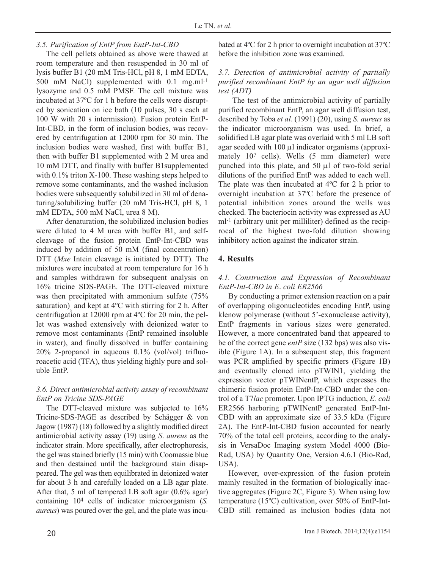# *3.5. Purification of EntP from EntP-Int-CBD*

The cell pellets obtained as above were thawed at room temperature and then resuspended in 30 ml of lysis buffer B1 (20 mM Tris-HCl, pH 8, 1 mM EDTA, 500 mM NaCl) supplemented with 0.1 mg.ml-1 lysozyme and 0.5 mM PMSF. The cell mixture was incubated at 37ºC for 1 h before the cells were disrupted by sonication on ice bath (10 pulses, 30 s each at 100 W with 20 s intermission). Fusion protein EntP-Int-CBD, in the form of inclusion bodies, was recovered by centrifugation at 12000 rpm for 30 min. The inclusion bodies were washed, first with buffer B1, then with buffer B1 supplemented with 2 M urea and 10 mM DTT, and finally with buffer B1supplemented with 0.1% triton X-100. These washing steps helped to remove some contaminants, and the washed inclusion bodies were subsequently solubilized in 30 ml of denaturing/solubilizing buffer (20 mM Tris-HCl, pH 8, 1 mM EDTA, 500 mM NaCl, urea 8 M).

After denaturation, the solubilized inclusion bodies were diluted to 4 M urea with buffer B1, and selfcleavage of the fusion protein EntP-Int-CBD was induced by addition of 50 mM (final concentration) DTT (*Mxe* Intein cleavage is initiated by DTT). The mixtures were incubated at room temperature for 16 h and samples withdrawn for subsequent analysis on 16% tricine SDS-PAGE. The DTT-cleaved mixture was then precipitated with ammonium sulfate (75% saturation) and kept at  $4^{\circ}$ C with stirring for 2 h. After centrifugation at 12000 rpm at 4ºC for 20 min, the pellet was washed extensively with deionized water to remove most contaminants (EntP remained insoluble in water), and finally dissolved in buffer containing 20% 2-propanol in aqueous 0.1% (vol/vol) trifluoroacetic acid (TFA), thus yielding highly pure and soluble EntP.

# *3.6. Direct antimicrobial activity assay of recombinant EntP on Tricine SDS-PAGE*

The DTT-cleaved mixture was subjected to 16% Tricine-SDS-PAGE as described by Schägger & von Jagow (1987) (18) followed by a slightly modified direct antimicrobial activity assay (19) using *S*. *aureus* as the indicator strain. More specifically, after electrophoresis, the gel was stained briefly (15 min) with Coomassie blue and then destained until the background stain disappeared. The gel was then equilibrated in deionized water for about 3 h and carefully loaded on a LB agar plate. After that, 5 ml of tempered LB soft agar (0.6% agar) containing 104 cells of indicator microorganism (*S. aureus*) was poured over the gel, and the plate was incubated at 4ºC for 2 h prior to overnight incubation at 37ºC before the inhibition zone was examined.

### *3.7. Detection of antimicrobial activity of partially purified recombinant EntP by an agar well diffusion test (ADT)*

The test of the antimicrobial activity of partially purified recombinant EntP, an agar well diffusion test, described by Toba *et al*. (1991) (20), using *S. aureus* as the indicator microorganism was used. In brief, a solidified LB agar plate was overlaid with 5 ml LB soft agar seeded with 100 μl indicator organisms (approximately 107 cells). Wells (5 mm diameter) were punched into this plate, and 50 μl of two-fold serial dilutions of the purified EntP was added to each well. The plate was then incubated at 4ºC for 2 h prior to overnight incubation at 37ºC before the presence of potential inhibition zones around the wells was checked. The bacteriocin activity was expressed as AU ml-1 (arbitrary unit per milliliter) defined as the reciprocal of the highest two-fold dilution showing inhibitory action against the indicator strain.

# **4. Results**

# *4.1. Construction and Expression of Recombinant EntP-Int-CBD in E*. *coli ER2566*

By conducting a primer extension reaction on a pair of overlapping oligonucleotides encoding EntP, using klenow polymerase (without 5'-exonuclease activity), EntP fragments in various sizes were generated. However, a more concentrated band that appeared to be of the correct gene *entP* size (132 bps) was also visible (Figure 1A). In a subsequent step, this fragment was PCR amplified by specific primers (Figure 1B) and eventually cloned into pTWIN1, yielding the expression vector pTWINentP, which expresses the chimeric fusion protein EntP-Int-CBD under the control of a T7*lac* promoter. Upon IPTG induction, *E. coli* ER2566 harboring pTWINentP generated EntP-Int-CBD with an approximate size of 33.5 kDa (Figure 2A). The EntP-Int-CBD fusion accounted for nearly 70% of the total cell proteins, according to the analysis in VersaDoc Imaging system Model 4000 (Bio-Rad, USA) by Quantity One, Version 4.6.1 (Bio-Rad, USA).

However, over-expression of the fusion protein mainly resulted in the formation of biologically inactive aggregates (Figure 2C, Figure 3). When using low temperature (15ºC) cultivation, over 50% of EntP-Int-CBD still remained as inclusion bodies (data not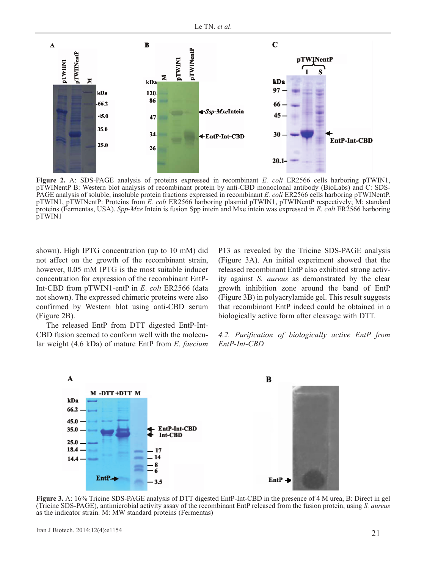

**Figure 2.** A: SDS-PAGE analysis of proteins expressed in recombinant *E. coli* ER2566 cells harboring pTWIN1, pTWINentP B: Western blot analysis of recombinant protein by anti-CBD monoclonal antibody (BioLabs) and C: SDS-PAGE analysis of soluble, insoluble protein fractions expressed in recombinant *E. coli* ER2566 cells harboring pTWINentP. pTWIN1, pTWINentP: Proteins from *E. coli* ER2566 harboring plasmid pTWIN1, pTWINentP respectively; M: standard proteins (Fermentas, USA). *Spp-Mxe* Intein is fusion Spp intein and Mxe intein was expressed in *E. coli* ER2566 harboring pTWIN1

shown). High IPTG concentration (up to 10 mM) did not affect on the growth of the recombinant strain, however, 0.05 mM IPTG is the most suitable inducer concentration for expression of the recombinant EntP-Int-CBD from pTWIN1-entP in *E*. *coli* ER2566 (data not shown). The expressed chimeric proteins were also confirmed by Western blot using anti-CBD serum (Figure 2B).

The released EntP from DTT digested EntP-Int-CBD fusion seemed to conform well with the molecular weight (4.6 kDa) of mature EntP from *E*. *faecium* P13 as revealed by the Tricine SDS-PAGE analysis (Figure 3A). An initial experiment showed that the released recombinant EntP also exhibited strong activity against *S. aureus* as demonstrated by the clear growth inhibition zone around the band of EntP (Figure 3B) in polyacrylamide gel. This result suggests that recombinant EntP indeed could be obtained in a biologically active form after cleavage with DTT.

*4.2. Purification of biologically active EntP from EntP-Int-CBD*



**Figure 3.** A: 16% Tricine SDS-PAGE analysis of DTT digested EntP-Int-CBD in the presence of 4 M urea, B: Direct in gel (Tricine SDS-PAGE), antimicrobial activity assay of the recombinant EntP released from the fusion protein, using *S. aureus* as the indicator strain. M: MW standard proteins (Fermentas)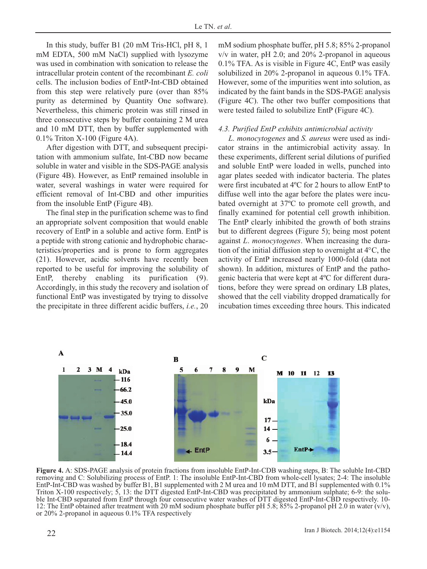In this study, buffer B1 (20 mM Tris-HCl, pH 8, 1 mM EDTA, 500 mM NaCl) supplied with lysozyme was used in combination with sonication to release the intracellular protein content of the recombinant *E. coli* cells. The inclusion bodies of EntP-Int-CBD obtained from this step were relatively pure (over than 85% purity as determined by Quantity One software). Nevertheless, this chimeric protein was still rinsed in three consecutive steps by buffer containing 2 M urea and 10 mM DTT, then by buffer supplemented with 0.1% Triton X-100 (Figure 4A).

After digestion with DTT, and subsequent precipitation with ammonium sulfate, Int-CBD now became soluble in water and visible in the SDS-PAGE analysis (Figure 4B). However, as EntP remained insoluble in water, several washings in water were required for efficient removal of Int-CBD and other impurities from the insoluble EntP (Figure 4B).

The final step in the purification scheme was to find an appropriate solvent composition that would enable recovery of EntP in a soluble and active form. EntP is a peptide with strong cationic and hydrophobic characteristics/properties and is prone to form aggregates (21). However, acidic solvents have recently been reported to be useful for improving the solubility of EntP, thereby enabling its purification (9). Accordingly, in this study the recovery and isolation of functional EntP was investigated by trying to dissolve the precipitate in three different acidic buffers, *i.e.*, 20 mM sodium phosphate buffer, pH 5.8; 85% 2-propanol  $v/v$  in water, pH 2.0; and 20% 2-propanol in aqueous 0.1% TFA. As is visible in Figure 4C, EntP was easily solubilized in 20% 2-propanol in aqueous 0.1% TFA. However, some of the impurities went into solution, as indicated by the faint bands in the SDS-PAGE analysis (Figure 4C). The other two buffer compositions that were tested failed to solubilize EntP (Figure 4C).

#### *4.3. Purified EntP exhibits antimicrobial activity*

*L. monocytogenes* and *S. aureus* were used as indicator strains in the antimicrobial activity assay. In these experiments, different serial dilutions of purified and soluble EntP were loaded in wells, punched into agar plates seeded with indicator bacteria. The plates were first incubated at 4ºC for 2 hours to allow EntP to diffuse well into the agar before the plates were incubated overnight at 37ºC to promote cell growth, and finally examined for potential cell growth inhibition. The EntP clearly inhibited the growth of both strains but to different degrees (Figure 5); being most potent against *L*. *monocytogenes*. When increasing the duration of the initial diffusion step to overnight at 4°C, the activity of EntP increased nearly 1000-fold (data not shown). In addition, mixtures of EntP and the pathogenic bacteria that were kept at 4ºC for different durations, before they were spread on ordinary LB plates, showed that the cell viability dropped dramatically for incubation times exceeding three hours. This indicated



**Figure 4.** A: SDS-PAGE analysis of protein fractions from insoluble EntP-Int-CDB washing steps, B: The soluble Int-CBD removing and C: Solubilizing process of EntP. 1: The insoluble EntP-Int-CBD from whole-cell lysates; 2-4: The insoluble EntP-Int-CBD was washed by buffer B1, B1 supplemented with 2 M urea and 10 mM DTT, and B1 supplemented with 0.1% Triton X-100 respectively; 5, 13: the DTT digested EntP-Int-CBD was precipitated by ammonium sulphate; 6-9: the soluble Int-CBD separated from EntP through four consecutive water washes of DTT digested EntP-Int-CBD respectively. 10- 12: The EntP obtained after treatment with 20 mM sodium phosphate buffer pH 5.8; 85% 2-propanol pH 2.0 in water (v/v), or 20% 2-propanol in aqueous 0.1% TFA respectively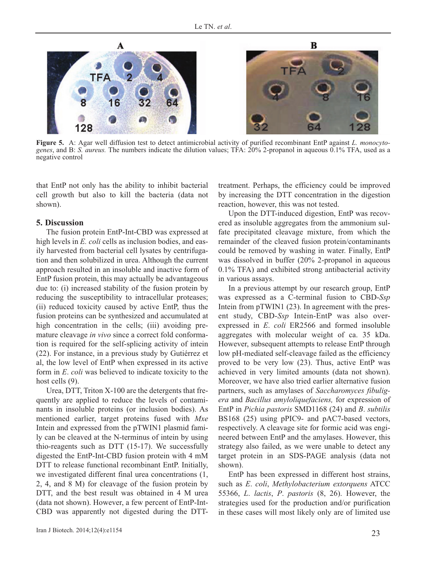

**Figure 5.** A: Agar well diffusion test to detect antimicrobial activity of purified recombinant EntP against *L. monocytogenes*, and B: *S. aureus.* The numbers indicate the dilution values; TFA: 20% 2-propanol in aqueous 0.1% TFA, used as a negative control

that EntP not only has the ability to inhibit bacterial cell growth but also to kill the bacteria (data not shown).

#### **5. Discussion**

The fusion protein EntP-Int-CBD was expressed at high levels in *E. coli* cells as inclusion bodies, and easily harvested from bacterial cell lysates by centrifugation and then solubilized in urea. Although the current approach resulted in an insoluble and inactive form of EntP fusion protein, this may actually be advantageous due to: (i) increased stability of the fusion protein by reducing the susceptibility to intracellular proteases; (ii) reduced toxicity caused by active EntP, thus the fusion proteins can be synthesized and accumulated at high concentration in the cells; (iii) avoiding premature cleavage *in vivo* since a correct fold conformation is required for the self-splicing activity of intein (22). For instance, in a previous study by Gutiérrez et al, the low level of EntP when expressed in its active form in *E*. *coli* was believed to indicate toxicity to the host cells (9).

Urea, DTT, Triton X-100 are the detergents that frequently are applied to reduce the levels of contaminants in insoluble proteins (or inclusion bodies). As mentioned earlier, target proteins fused with *Mxe* Intein and expressed from the pTWIN1 plasmid family can be cleaved at the N-terminus of intein by using thio-reagents such as DTT (15-17). We successfully digested the EntP-Int-CBD fusion protein with 4 mM DTT to release functional recombinant EntP. Initially, we investigated different final urea concentrations (1, 2, 4, and 8 M) for cleavage of the fusion protein by DTT, and the best result was obtained in 4 M urea (data not shown). However, a few percent of EntP-Int-CBD was apparently not digested during the DTT- treatment. Perhaps, the efficiency could be improved by increasing the DTT concentration in the digestion reaction, however, this was not tested.

Upon the DTT-induced digestion, EntP was recovered as insoluble aggregates from the ammonium sulfate precipitated cleavage mixture, from which the remainder of the cleaved fusion protein/contaminants could be removed by washing in water. Finally, EntP was dissolved in buffer (20% 2-propanol in aqueous 0.1% TFA) and exhibited strong antibacterial activity in various assays.

In a previous attempt by our research group, EntP was expressed as a C-terminal fusion to CBD-*Ssp* Intein from pTWIN1 (23). In agreement with the present study, CBD-*Ssp* Intein-EntP was also overexpressed in *E*. *coli* ER2566 and formed insoluble aggregates with molecular weight of ca. 35 kDa. However, subsequent attempts to release EntP through low pH-mediated self-cleavage failed as the efficiency proved to be very low (23). Thus, active EntP was achieved in very limited amounts (data not shown). Moreover, we have also tried earlier alternative fusion partners, such as amylases of *Saccharomyces fibuligera* and *Bacillus amyloliquefaciens,* for expression of EntP in *Pichia pastoris* SMD1168 (24) and *B*. *subtilis* BS168 (25) using pPIC9- and pAC7-based vectors, respectively. A cleavage site for formic acid was engineered between EntP and the amylases. However, this strategy also failed, as we were unable to detect any target protein in an SDS-PAGE analysis (data not shown).

EntP has been expressed in different host strains, such as *E*. *coli*, *Methylobacterium extorquens* ATCC 55366, *L*. *lactis*, *P*. *pastoris* (8, 26). However, the strategies used for the production and/or purification in these cases will most likely only are of limited use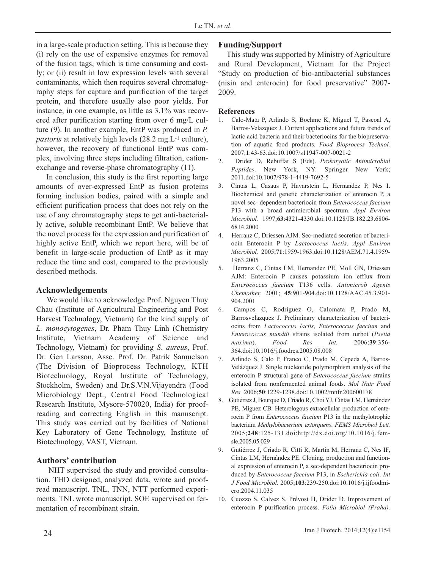in a large-scale production setting. This is because they (i) rely on the use of expensive enzymes for removal of the fusion tags, which is time consuming and costly; or (ii) result in low expression levels with several contaminants, which then requires several chromatography steps for capture and purification of the target protein, and therefore usually also poor yields. For instance, in one example, as little as 3.1% was recovered after purification starting from over 6 mg/L culture (9). In another example, EntP was produced in *P. pastoris* at relatively high levels (28.2 mg.L<sup>-1</sup> culture), however, the recovery of functional EntP was complex, involving three steps including filtration, cationexchange and reverse-phase chromatography (11).

In conclusion, this study is the first reporting large amounts of over-expressed EntP as fusion proteins forming inclusion bodies, paired with a simple and efficient purification process that does not rely on the use of any chromatography steps to get anti-bacterially active, soluble recombinant EntP. We believe that the novel process for the expression and purification of highly active EntP, which we report here, will be of benefit in large-scale production of EntP as it may reduce the time and cost, compared to the previously described methods.

#### **Acknowledgements**

We would like to acknowledge Prof. Nguyen Thuy Chau (Institute of Agricultural Engineering and Post Harvest Technology, Vietnam) for the kind supply of *L. monocytogenes*, Dr. Pham Thuy Linh (Chemistry Institute, Vietnam Academy of Science and Technology, Vietnam) for providing *S*. *aureus*, Prof. Dr. Gen Larsson, Assc. Prof. Dr. Patrik Samuelson (The Division of Bioprocess Technology, KTH Biotechnology, Royal Institute of Technology, Stockholm, Sweden) and Dr.S.V.N.Vijayendra (Food Microbiology Dept., Central Food Technological Research Institute, Mysore-570020, India) for proofreading and correcting English in this manuscript. This study was carried out by facilities of National Key Laboratory of Gene Technology, Institute of Biotechnology, VAST, Vietnam.

# **Authors' contribution**

NHT supervised the study and provided consultation. THD designed, analyzed data, wrote and proofread manuscript. TNL, TNN, NTT performed experiments. TNL wrote manuscript. SOE supervised on fermentation of recombinant strain.

#### **Funding/Support**

This study was supported by Ministry of Agriculture and Rural Development, Vietnam for the Project "Study on production of bio-antibacterial substances (nisin and enterocin) for food preservative" 2007- 2009.

#### **References**

- 1. Calo-Mata P, Arlindo S, Boehme K, Miguel T, Pascoal A, Barros-Velazquez J. Current applications and future trends of lactic acid bacteria and their bacteriocins for the biopreservation of aquatic food products. *Food Bioprocess Technol.* 2007;**1**:43-63.doi:10.1007/s11947-007-0021-2
- 2. Drider D, Rebuffat S (Eds). *Prokaryotic Antimicrobial Peptides*. New York, NY: Springer New York; 2011.doi:10.1007/978-1-4419-7692-5
- 3. Cintas L, Casaus P, Havarstein L, Hernandez P, Nes I. Biochemical and genetic characterization of enterocin P, a novel sec- dependent bacteriocin from *Enterococcus faecium* P13 with a broad antimicrobial spectrum. *Appl Environ Microbiol.* 1997;**63**:4321-4330.doi:10.1128/JB.182.23.6806- 6814.2000
- 4. Herranz C, Driessen AJM. Sec-mediated secretion of bacteriocin Enterocin P by *Lactococcus lactis*. *Appl Environ Microbiol.* 2005;**71**:1959-1963.doi:10.1128/AEM.71.4.1959- 1963.2005
- 5. Herranz C, Cintas LM, Hernandez PE, Moll GN, Driessen AJM: Enterocin P causes potassium ion efflux from *Enterococcus faecium* T136 cells. *Antimicrob Agents Chemother.* 2001; **45**:901-904.doi:10.1128/AAC.45.3.901- 904.2001
- 6. Campos C, Rodriguez O, Calomata P, Prado M, Barrosvelazquez J. Preliminary characterization of bacteriocins from *Lactococcus lactis*, *Enterococcus faecium* and *Enterococcus mundtii* strains isolated from turbot (*Psetta maxima*). *Food Res Int.* 2006;**39**:356- 364.doi:10.1016/j.foodres.2005.08.008
- 7. Arlindo S, Calo P, Franco C, Prado M, Cepeda A, Barros-Velázquez J. Single nucleotide polymorphism analysis of the enterocin P structural gene of *Enterococcus faecium* strains isolated from nonfermented animal foods. *Mol Nutr Food Res.* 2006;**50**:1229-1238.doi:10.1002/mnfr.200600178
- 8. Gutiérrez J, Bourque D, Criado R, Choi YJ, Cintas LM, Hernández PE, Míguez CB. Heterologous extracellular production of enterocin P from *Enterococcus faecium* P13 in the methylotrophic bacterium *Methylobacterium extorquens*. *FEMS Microbiol Lett.* 2005;**248**:125-131.doi:http://dx.doi.org/10.1016/j.femsle.2005.05.029
- 9. Gutiérrez J, Criado R, Citti R, Martín M, Herranz C, Nes IF, Cintas LM, Hernández PE. Cloning, production and functional expression of enterocin P, a sec-dependent bacteriocin produced by *Enterococcus faecium* P13, in *Escherichia coli*. *Int J Food Microbiol.* 2005;**103**:239-250.doi:10.1016/j.ijfoodmicro.2004.11.035
- 10. Cuozzo S, Calvez S, Prévost H, Drider D. Improvement of enterocin P purification process. *Folia Microbiol (Praha).*